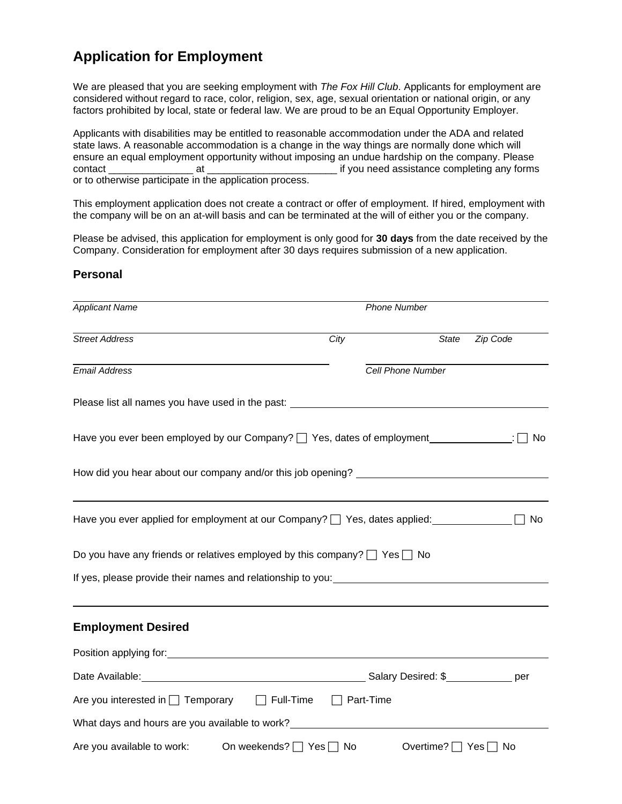# **Application for Employment**

We are pleased that you are seeking employment with *The Fox Hill Club*. Applicants for employment are considered without regard to race, color, religion, sex, age, sexual orientation or national origin, or any factors prohibited by local, state or federal law. We are proud to be an Equal Opportunity Employer.

Applicants with disabilities may be entitled to reasonable accommodation under the ADA and related state laws. A reasonable accommodation is a change in the way things are normally done which will ensure an equal employment opportunity without imposing an undue hardship on the company. Please contact and at the contact at the state of the state of the state of the state completing any forms contact or to otherwise participate in the application process.

This employment application does not create a contract or offer of employment. If hired, employment with the company will be on an at-will basis and can be terminated at the will of either you or the company.

Please be advised, this application for employment is only good for **30 days** from the date received by the Company. Consideration for employment after 30 days requires submission of a new application.

### **Personal**

| <b>Applicant Name</b>                                                                                                                                                                                                          | <b>Phone Number</b> |                                |       |          |
|--------------------------------------------------------------------------------------------------------------------------------------------------------------------------------------------------------------------------------|---------------------|--------------------------------|-------|----------|
| <b>Street Address</b>                                                                                                                                                                                                          | City                |                                | State | Zip Code |
| <b>Email Address</b>                                                                                                                                                                                                           |                     | Cell Phone Number              |       |          |
| Please list all names you have used in the past: _______________________________                                                                                                                                               |                     |                                |       |          |
| Have you ever been employed by our Company? [ Yes, dates of employment ______________:                                                                                                                                         |                     |                                |       | No.      |
| How did you hear about our company and/or this job opening? ____________________                                                                                                                                               |                     |                                |       |          |
| Have you ever applied for employment at our Company?   Yes, dates applied:                                                                                                                                                     |                     |                                |       | No       |
| Do you have any friends or relatives employed by this company? $\Box$ Yes $\Box$ No                                                                                                                                            |                     |                                |       |          |
| If yes, please provide their names and relationship to you: example and relationship to you:                                                                                                                                   |                     |                                |       |          |
| <b>Employment Desired</b>                                                                                                                                                                                                      |                     |                                |       |          |
| Position applying for: Note that the set of the set of the set of the set of the set of the set of the set of the set of the set of the set of the set of the set of the set of the set of the set of the set of the set of th |                     |                                |       |          |
|                                                                                                                                                                                                                                |                     |                                |       |          |
| Are you interested in $\Box$ Temporary $\Box$ Full-Time                                                                                                                                                                        |                     | Part-Time                      |       |          |
| What days and hours are you available to work?                                                                                                                                                                                 |                     |                                |       |          |
| Are you available to work: On weekends? $\Box$ Yes $\Box$ No                                                                                                                                                                   |                     | Overtime? $\Box$ Yes $\Box$ No |       |          |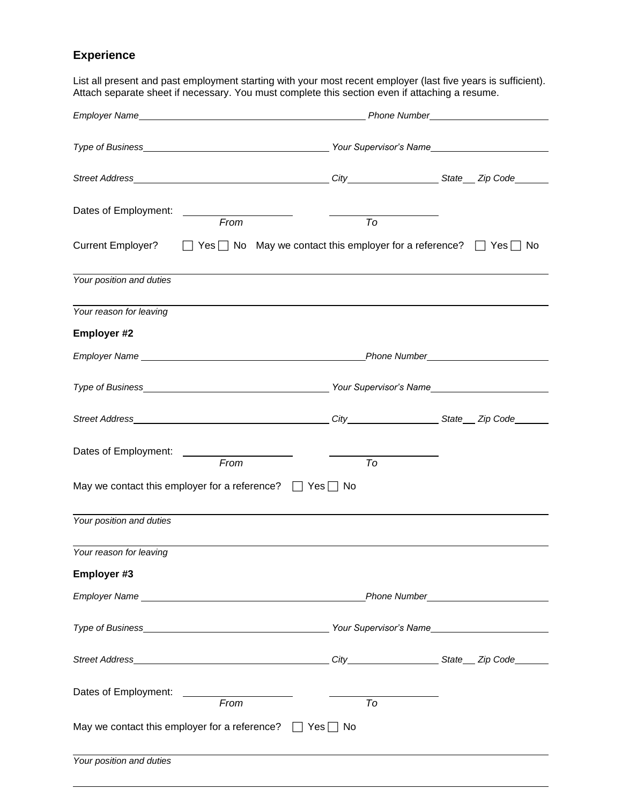# **Experience**

List all present and past employment starting with your most recent employer (last five years is sufficient). Attach separate sheet if necessary. You must complete this section even if attaching a resume.

|                                                                                                                                                                                                                                |      | Phone Number_                                                                           |                            |
|--------------------------------------------------------------------------------------------------------------------------------------------------------------------------------------------------------------------------------|------|-----------------------------------------------------------------------------------------|----------------------------|
|                                                                                                                                                                                                                                |      |                                                                                         |                            |
|                                                                                                                                                                                                                                |      |                                                                                         |                            |
|                                                                                                                                                                                                                                |      |                                                                                         |                            |
| Dates of Employment:                                                                                                                                                                                                           |      |                                                                                         |                            |
|                                                                                                                                                                                                                                | From | To                                                                                      |                            |
| <b>Current Employer?</b>                                                                                                                                                                                                       |      | $\Box$ Yes $\Box$ No May we contact this employer for a reference? $\Box$ Yes $\Box$ No |                            |
| Your position and duties                                                                                                                                                                                                       |      |                                                                                         |                            |
| Your reason for leaving                                                                                                                                                                                                        |      |                                                                                         |                            |
| <b>Employer #2</b>                                                                                                                                                                                                             |      |                                                                                         |                            |
| Employer Name experience and the contract of the contract of the contract of the contract of the contract of the contract of the contract of the contract of the contract of the contract of the contract of the contract of t |      | <b>Phone Number</b> Phone 2014                                                          |                            |
|                                                                                                                                                                                                                                |      |                                                                                         |                            |
|                                                                                                                                                                                                                                |      |                                                                                         |                            |
| Dates of Employment: _______________________                                                                                                                                                                                   |      |                                                                                         |                            |
|                                                                                                                                                                                                                                | From | To                                                                                      |                            |
| May we contact this employer for a reference? $\Box$ Yes $\Box$ No                                                                                                                                                             |      |                                                                                         |                            |
| Your position and duties                                                                                                                                                                                                       |      |                                                                                         |                            |
| Your reason for leaving                                                                                                                                                                                                        |      |                                                                                         |                            |
| Employer #3                                                                                                                                                                                                                    |      |                                                                                         |                            |
| Employer Name Name Name and American Control of the Control of the Control of the Control of the Control of the Control of the Control of the Control of the Control of the Control of the Control of the Control of the Contr |      |                                                                                         | Phone Number <b>Manual</b> |
|                                                                                                                                                                                                                                |      |                                                                                         |                            |
|                                                                                                                                                                                                                                |      |                                                                                         |                            |
| Dates of Employment: _______________________                                                                                                                                                                                   |      |                                                                                         |                            |
|                                                                                                                                                                                                                                | From | To                                                                                      |                            |
| May we contact this employer for a reference? $\Box$ Yes $\Box$ No                                                                                                                                                             |      |                                                                                         |                            |
| Your position and duties                                                                                                                                                                                                       |      |                                                                                         |                            |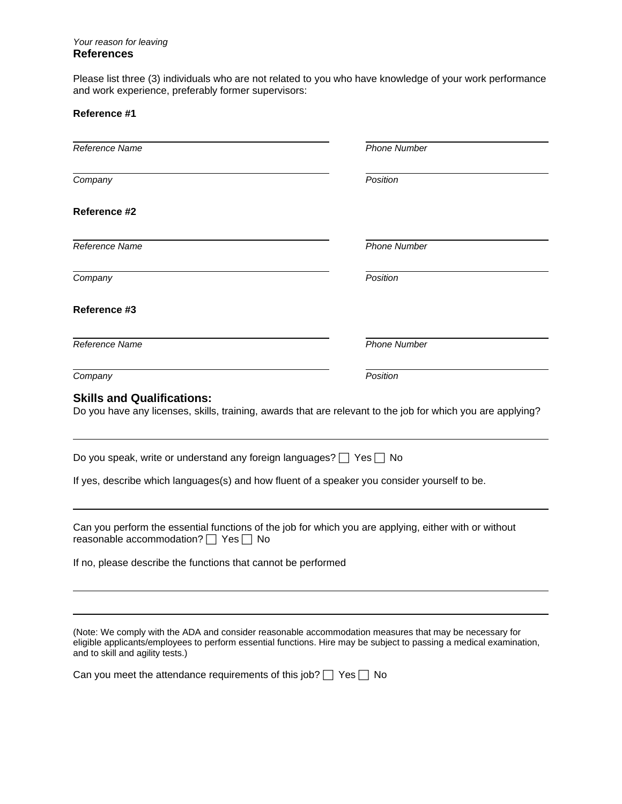### *Your reason for leaving*  **References**

Please list three (3) individuals who are not related to you who have knowledge of your work performance and work experience, preferably former supervisors:

## **Reference #1**

| Reference Name                                                                                                                                                                                                                                                    | <b>Phone Number</b> |
|-------------------------------------------------------------------------------------------------------------------------------------------------------------------------------------------------------------------------------------------------------------------|---------------------|
| Company                                                                                                                                                                                                                                                           | Position            |
| Reference #2                                                                                                                                                                                                                                                      |                     |
| Reference Name                                                                                                                                                                                                                                                    | <b>Phone Number</b> |
| Company                                                                                                                                                                                                                                                           | Position            |
| Reference #3                                                                                                                                                                                                                                                      |                     |
| Reference Name                                                                                                                                                                                                                                                    | <b>Phone Number</b> |
| Company                                                                                                                                                                                                                                                           | Position            |
| <b>Skills and Qualifications:</b><br>Do you have any licenses, skills, training, awards that are relevant to the job for which you are applying?                                                                                                                  |                     |
| Do you speak, write or understand any foreign languages? $\Box$ Yes $\Box$ No                                                                                                                                                                                     |                     |
| If yes, describe which languages(s) and how fluent of a speaker you consider yourself to be.                                                                                                                                                                      |                     |
| Can you perform the essential functions of the job for which you are applying, either with or without<br>reasonable accommodation? □ Yes [<br><b>No</b>                                                                                                           |                     |
| If no, please describe the functions that cannot be performed                                                                                                                                                                                                     |                     |
|                                                                                                                                                                                                                                                                   |                     |
| (Note: We comply with the ADA and consider reasonable accommodation measures that may be necessary for<br>eligible applicants/employees to perform essential functions. Hire may be subject to passing a medical examination,<br>and to skill and agility tests.) |                     |
| Can you meet the attendance requirements of this job? $\Box$                                                                                                                                                                                                      | Yes<br><b>No</b>    |